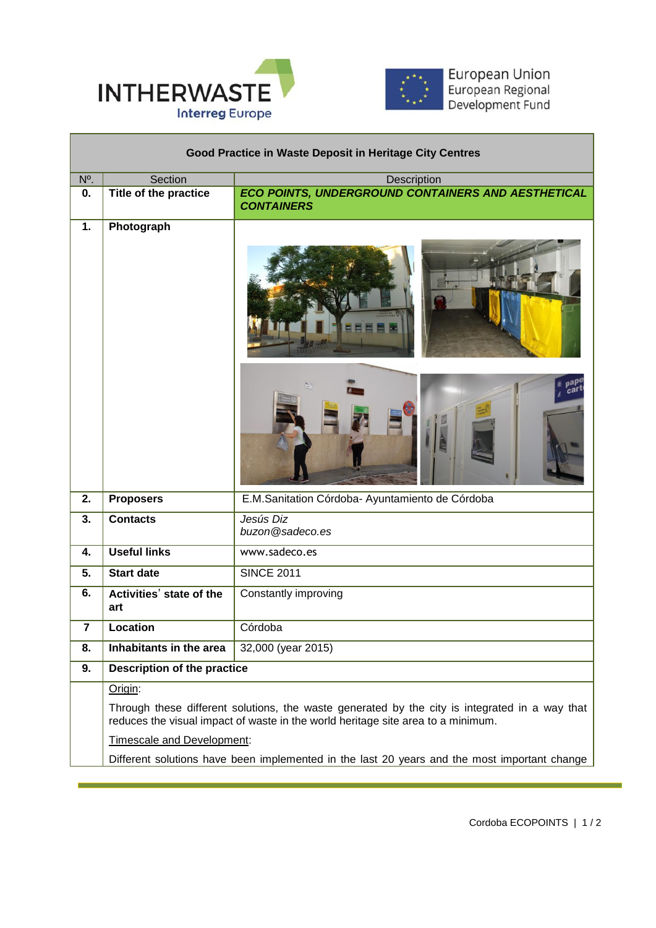

Г



European Union<br>European Regional<br>Development Fund

| Good Practice in Waste Deposit in Heritage City Centres |                                                                                                                                                                                    |                                                                         |  |
|---------------------------------------------------------|------------------------------------------------------------------------------------------------------------------------------------------------------------------------------------|-------------------------------------------------------------------------|--|
| N <sup>o</sup> .                                        | Section                                                                                                                                                                            | Description                                                             |  |
| 0.                                                      | Title of the practice                                                                                                                                                              | ECO POINTS, UNDERGROUND CONTAINERS AND AESTHETICAL<br><b>CONTAINERS</b> |  |
| 1.                                                      | Photograph                                                                                                                                                                         |                                                                         |  |
| 2.                                                      | <b>Proposers</b>                                                                                                                                                                   | E.M.Sanitation Córdoba- Ayuntamiento de Córdoba                         |  |
| 3.                                                      | <b>Contacts</b>                                                                                                                                                                    | Jesús Diz<br>buzon@sadeco.es                                            |  |
| 4.                                                      | <b>Useful links</b>                                                                                                                                                                | www.sadeco.es                                                           |  |
| 5.                                                      | <b>Start date</b>                                                                                                                                                                  | <b>SINCE 2011</b>                                                       |  |
| 6.                                                      | Activities' state of the<br>art                                                                                                                                                    | Constantly improving                                                    |  |
| $\overline{7}$                                          | Location                                                                                                                                                                           | Córdoba                                                                 |  |
| 8.                                                      | Inhabitants in the area                                                                                                                                                            | 32,000 (year 2015)                                                      |  |
| 9.                                                      | <b>Description of the practice</b>                                                                                                                                                 |                                                                         |  |
|                                                         | Origin:                                                                                                                                                                            |                                                                         |  |
|                                                         | Through these different solutions, the waste generated by the city is integrated in a way that<br>reduces the visual impact of waste in the world heritage site area to a minimum. |                                                                         |  |
|                                                         | Timescale and Development:                                                                                                                                                         |                                                                         |  |
|                                                         | Different solutions have been implemented in the last 20 years and the most important change                                                                                       |                                                                         |  |

 $\overline{a}$